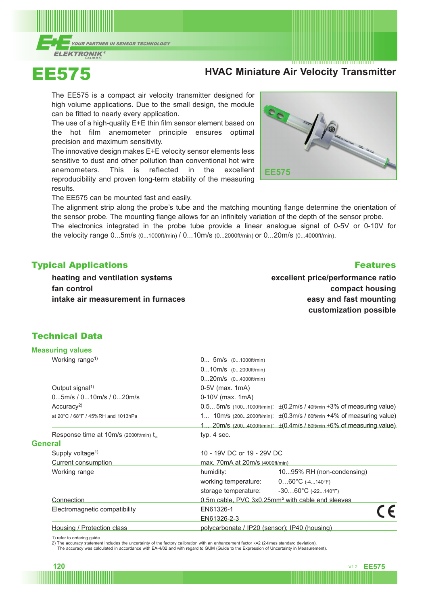



# EE575 **HVAC Miniature Air Velocity Transmitter**

The EE575 is a compact air velocity transmitter designed for high volume applications. Due to the small design, the module can be fitted to nearly every application.

The use of a high-quality E+E thin film sensor element based on the hot film anemometer principle ensures optimal precision and maximum sensitivity.

The innovative design makes E+E velocity sensor elements less sensitive to dust and other pollution than conventional hot wire anemometers. This is reflected in the excellent reproducibility and proven long-term stability of the measuring results.



The EE575 can be mounted fast and easily.

The alignment strip along the probe's tube and the matching mounting flange determine the orientation of the sensor probe. The mounting flange allows for an infinitely variation of the depth of the sensor probe.

The electronics integrated in the probe tube provide a linear analogue signal of 0-5V or 0-10V for the velocity range 0...5m/s (0...1000ft/min) / 0...10m/s (0...2000ft/min) or 0...20m/s (0...4000ft/min).

**Typical Applications** 

**heating and ventilation systems fan control intake air measurement in furnaces** **excellent price/performance ratio compact housing easy and fast mounting customization possible**

## Technical Data

| <b>Measuring values</b>                             |                                                                                                     |                                                                                                        |  |  |  |  |
|-----------------------------------------------------|-----------------------------------------------------------------------------------------------------|--------------------------------------------------------------------------------------------------------|--|--|--|--|
| Working range <sup>1)</sup>                         | $0$ 5m/s $(01000ft/min)$                                                                            |                                                                                                        |  |  |  |  |
|                                                     | $010m/s$ $(02000ft/min)$                                                                            |                                                                                                        |  |  |  |  |
|                                                     | $020m/s$ $(04000ft/min)$                                                                            |                                                                                                        |  |  |  |  |
| Output signal <sup>1)</sup>                         | $0-5V$ (max. 1mA)                                                                                   |                                                                                                        |  |  |  |  |
| 05m/s / 010m/s / 020m/s                             | $0-10V$ (max. 1mA)                                                                                  |                                                                                                        |  |  |  |  |
| Accuracy <sup>2)</sup>                              |                                                                                                     | $0.5$ 5m/s (1001000ft/min): $\pm (0.2 \text{m/s} / 40 \text{ft/min} + 3\% \text{ of measuring value})$ |  |  |  |  |
| at 20°C / 68°F / 45%RH and 1013hPa                  | 1 10m/s $(2002000ft/min)$ : $\pm (0.3m/s / 60ft/min + 4% of measuring value)$                       |                                                                                                        |  |  |  |  |
|                                                     | 1 20m/s (2004000ft/min): $\pm (0.4 \text{m/s} / 80 \text{ft/min} + 6\% \text{ of measuring value})$ |                                                                                                        |  |  |  |  |
| Response time at 10m/s (2000ft/min) t <sub>on</sub> | typ. $4$ sec.                                                                                       |                                                                                                        |  |  |  |  |
| <b>General</b>                                      |                                                                                                     |                                                                                                        |  |  |  |  |
| Supply voltage <sup>1)</sup>                        |                                                                                                     | 10 - 19V DC or 19 - 29V DC                                                                             |  |  |  |  |
| <b>Current consumption</b>                          | max. 70mA at 20m/s (4000ft/min)                                                                     |                                                                                                        |  |  |  |  |
| Working range                                       | humidity:                                                                                           | 1095% RH (non-condensing)                                                                              |  |  |  |  |
|                                                     | working temperature: $060^{\circ}C$ (-4140°F)                                                       |                                                                                                        |  |  |  |  |
|                                                     |                                                                                                     | storage temperature: $-3060^{\circ}C$ (-22140°F)                                                       |  |  |  |  |
| Connection                                          | 0.5m cable, PVC 3x0.25mm <sup>2</sup> with cable end sleeves                                        |                                                                                                        |  |  |  |  |
| Electromagnetic compatibility                       | EN61326-1                                                                                           |                                                                                                        |  |  |  |  |
|                                                     | EN61326-2-3                                                                                         |                                                                                                        |  |  |  |  |
| Housing / Protection class                          | polycarbonate / IP20 (sensor); IP40 (housing)                                                       |                                                                                                        |  |  |  |  |

1) refer to ordering guide

2) The accuracy statement includes the uncertainty of the factory calibration with an enhancement factor k=2 (2-times standard deviation).

The accuracy was calculated in accordance with EA-4/02 and with regard to GUM (Guide to the Expression of Uncertainty in Measurement).